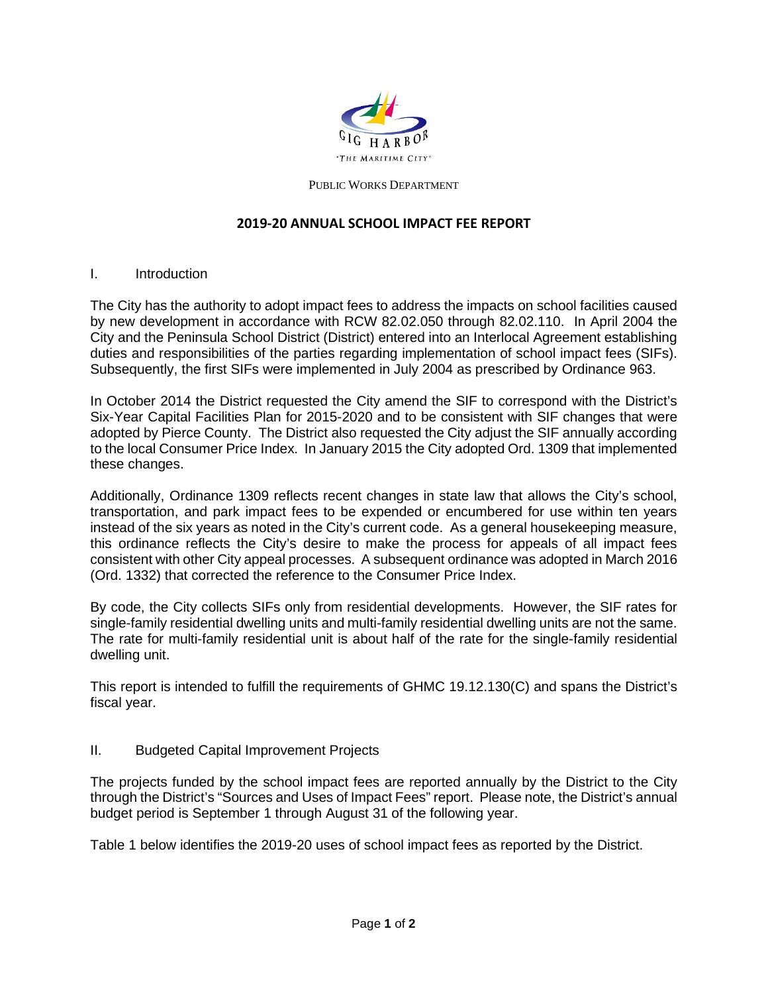

#### PUBLIC WORKS DEPARTMENT

#### **2019-20 ANNUAL SCHOOL IMPACT FEE REPORT**

#### I. Introduction

The City has the authority to adopt impact fees to address the impacts on school facilities caused by new development in accordance with RCW 82.02.050 through 82.02.110. In April 2004 the City and the Peninsula School District (District) entered into an Interlocal Agreement establishing duties and responsibilities of the parties regarding implementation of school impact fees (SIFs). Subsequently, the first SIFs were implemented in July 2004 as prescribed by Ordinance 963.

In October 2014 the District requested the City amend the SIF to correspond with the District's Six-Year Capital Facilities Plan for 2015-2020 and to be consistent with SIF changes that were adopted by Pierce County. The District also requested the City adjust the SIF annually according to the local Consumer Price Index. In January 2015 the City adopted Ord. 1309 that implemented these changes.

Additionally, Ordinance 1309 reflects recent changes in state law that allows the City's school, transportation, and park impact fees to be expended or encumbered for use within ten years instead of the six years as noted in the City's current code. As a general housekeeping measure, this ordinance reflects the City's desire to make the process for appeals of all impact fees consistent with other City appeal processes. A subsequent ordinance was adopted in March 2016 (Ord. 1332) that corrected the reference to the Consumer Price Index.

By code, the City collects SIFs only from residential developments. However, the SIF rates for single-family residential dwelling units and multi-family residential dwelling units are not the same. The rate for multi-family residential unit is about half of the rate for the single-family residential dwelling unit.

This report is intended to fulfill the requirements of GHMC 19.12.130(C) and spans the District's fiscal year.

### II. Budgeted Capital Improvement Projects

The projects funded by the school impact fees are reported annually by the District to the City through the District's "Sources and Uses of Impact Fees" report. Please note, the District's annual budget period is September 1 through August 31 of the following year.

Table 1 below identifies the 2019-20 uses of school impact fees as reported by the District.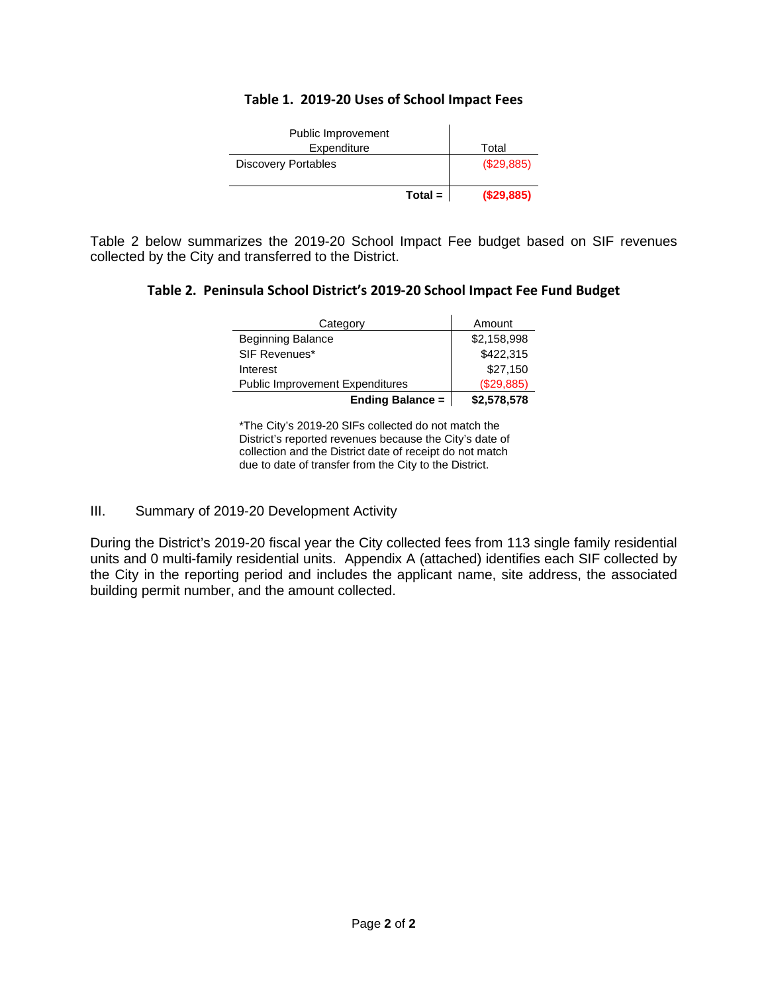### **Table 1. 2019-20 Uses of School Impact Fees**

| Public Improvement         |           |            |
|----------------------------|-----------|------------|
| Expenditure                |           | Total      |
| <b>Discovery Portables</b> |           | (\$29,885) |
|                            | $Total =$ | (\$29,885) |

Table 2 below summarizes the 2019-20 School Impact Fee budget based on SIF revenues collected by the City and transferred to the District.

#### **Table 2. Peninsula School District's 2019-20 School Impact Fee Fund Budget**

| Category                               | Amount      |  |
|----------------------------------------|-------------|--|
| <b>Beginning Balance</b>               | \$2,158,998 |  |
| SIF Revenues*                          | \$422,315   |  |
| Interest                               | \$27,150    |  |
| <b>Public Improvement Expenditures</b> | (\$29,885)  |  |
| <b>Ending Balance =</b>                | \$2,578,578 |  |

\*The City's 2019-20 SIFs collected do not match the District's reported revenues because the City's date of collection and the District date of receipt do not match due to date of transfer from the City to the District.

### III. Summary of 2019-20 Development Activity

During the District's 2019-20 fiscal year the City collected fees from 113 single family residential units and 0 multi-family residential units. Appendix A (attached) identifies each SIF collected by the City in the reporting period and includes the applicant name, site address, the associated building permit number, and the amount collected.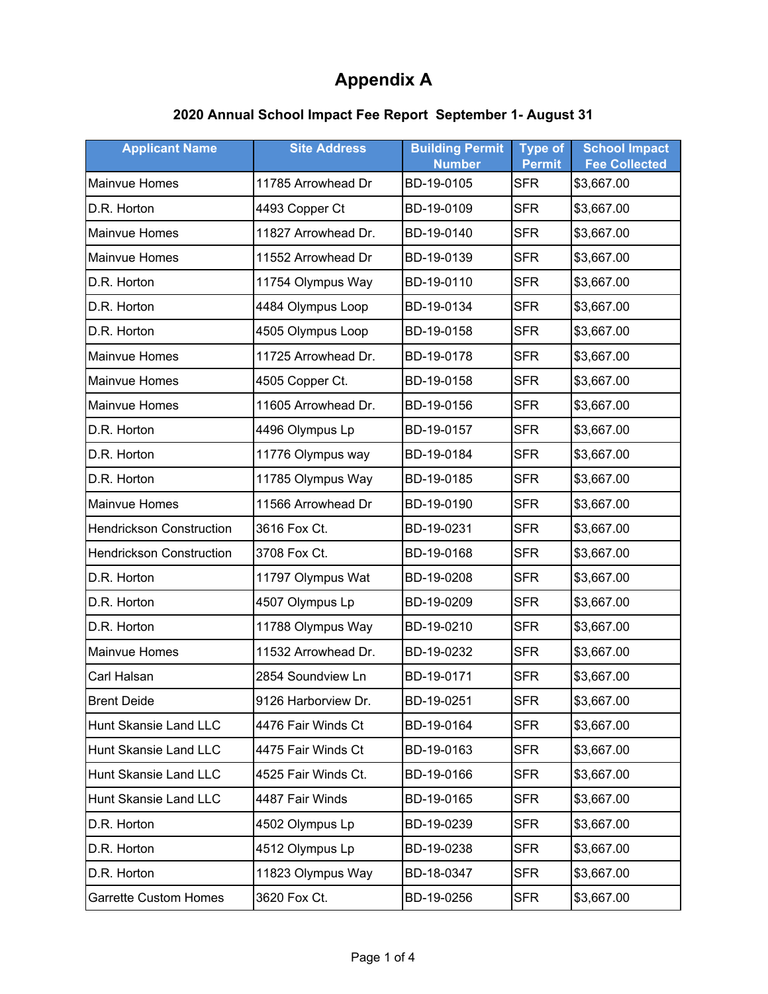## **2020 Annual School Impact Fee Report September 1- August 31**

| <b>Applicant Name</b>           | <b>Site Address</b> | <b>Building Permit</b><br><b>Number</b> | <b>Type of</b><br><b>Permit</b> | <b>School Impact</b><br><b>Fee Collected</b> |
|---------------------------------|---------------------|-----------------------------------------|---------------------------------|----------------------------------------------|
| <b>Mainvue Homes</b>            | 11785 Arrowhead Dr  | BD-19-0105                              | <b>SFR</b>                      | \$3,667.00                                   |
| D.R. Horton                     | 4493 Copper Ct      | BD-19-0109                              | <b>SFR</b>                      | \$3,667.00                                   |
| Mainvue Homes                   | 11827 Arrowhead Dr. | BD-19-0140                              | <b>SFR</b>                      | \$3,667.00                                   |
| Mainvue Homes                   | 11552 Arrowhead Dr  | BD-19-0139                              | <b>SFR</b>                      | \$3,667.00                                   |
| D.R. Horton                     | 11754 Olympus Way   | BD-19-0110                              | <b>SFR</b>                      | \$3,667.00                                   |
| D.R. Horton                     | 4484 Olympus Loop   | BD-19-0134                              | <b>SFR</b>                      | \$3,667.00                                   |
| D.R. Horton                     | 4505 Olympus Loop   | BD-19-0158                              | <b>SFR</b>                      | \$3,667.00                                   |
| Mainvue Homes                   | 11725 Arrowhead Dr. | BD-19-0178                              | <b>SFR</b>                      | \$3,667.00                                   |
| Mainvue Homes                   | 4505 Copper Ct.     | BD-19-0158                              | <b>SFR</b>                      | \$3,667.00                                   |
| Mainvue Homes                   | 11605 Arrowhead Dr. | BD-19-0156                              | <b>SFR</b>                      | \$3,667.00                                   |
| D.R. Horton                     | 4496 Olympus Lp     | BD-19-0157                              | <b>SFR</b>                      | \$3,667.00                                   |
| D.R. Horton                     | 11776 Olympus way   | BD-19-0184                              | <b>SFR</b>                      | \$3,667.00                                   |
| D.R. Horton                     | 11785 Olympus Way   | BD-19-0185                              | <b>SFR</b>                      | \$3,667.00                                   |
| Mainvue Homes                   | 11566 Arrowhead Dr  | BD-19-0190                              | <b>SFR</b>                      | \$3,667.00                                   |
| <b>Hendrickson Construction</b> | 3616 Fox Ct.        | BD-19-0231                              | <b>SFR</b>                      | \$3,667.00                                   |
| <b>Hendrickson Construction</b> | 3708 Fox Ct.        | BD-19-0168                              | <b>SFR</b>                      | \$3,667.00                                   |
| D.R. Horton                     | 11797 Olympus Wat   | BD-19-0208                              | <b>SFR</b>                      | \$3,667.00                                   |
| D.R. Horton                     | 4507 Olympus Lp     | BD-19-0209                              | <b>SFR</b>                      | \$3,667.00                                   |
| D.R. Horton                     | 11788 Olympus Way   | BD-19-0210                              | <b>SFR</b>                      | \$3,667.00                                   |
| Mainvue Homes                   | 11532 Arrowhead Dr. | BD-19-0232                              | <b>SFR</b>                      | \$3,667.00                                   |
| Carl Halsan                     | 2854 Soundview Ln   | BD-19-0171                              | <b>SFR</b>                      | \$3,667.00                                   |
| <b>Brent Deide</b>              | 9126 Harborview Dr. | BD-19-0251                              | SFR                             | \$3,667.00                                   |
| Hunt Skansie Land LLC           | 4476 Fair Winds Ct  | BD-19-0164                              | <b>SFR</b>                      | \$3,667.00                                   |
| Hunt Skansie Land LLC           | 4475 Fair Winds Ct  | BD-19-0163                              | <b>SFR</b>                      | \$3,667.00                                   |
| Hunt Skansie Land LLC           | 4525 Fair Winds Ct. | BD-19-0166                              | <b>SFR</b>                      | \$3,667.00                                   |
| Hunt Skansie Land LLC           | 4487 Fair Winds     | BD-19-0165                              | <b>SFR</b>                      | \$3,667.00                                   |
| D.R. Horton                     | 4502 Olympus Lp     | BD-19-0239                              | <b>SFR</b>                      | \$3,667.00                                   |
| D.R. Horton                     | 4512 Olympus Lp     | BD-19-0238                              | <b>SFR</b>                      | \$3,667.00                                   |
| D.R. Horton                     | 11823 Olympus Way   | BD-18-0347                              | <b>SFR</b>                      | \$3,667.00                                   |
| <b>Garrette Custom Homes</b>    | 3620 Fox Ct.        | BD-19-0256                              | <b>SFR</b>                      | \$3,667.00                                   |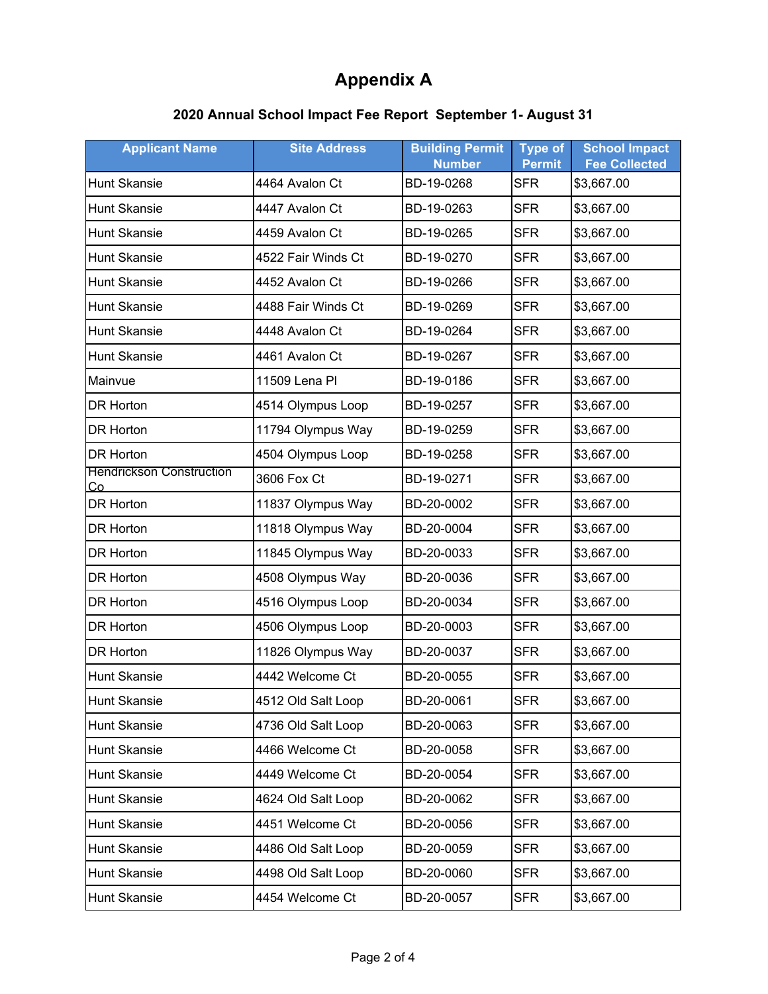## **2020 Annual School Impact Fee Report September 1- August 31**

| <b>Applicant Name</b>                 | <b>Site Address</b> | <b>Building Permit</b><br><b>Number</b> | <b>Type of</b><br><b>Permit</b> | <b>School Impact</b><br><b>Fee Collected</b> |
|---------------------------------------|---------------------|-----------------------------------------|---------------------------------|----------------------------------------------|
| <b>Hunt Skansie</b>                   | 4464 Avalon Ct      | BD-19-0268                              | <b>SFR</b>                      | \$3,667.00                                   |
| <b>Hunt Skansie</b>                   | 4447 Avalon Ct      | BD-19-0263                              | <b>SFR</b>                      | \$3,667.00                                   |
| <b>Hunt Skansie</b>                   | 4459 Avalon Ct      | BD-19-0265                              | <b>SFR</b>                      | \$3,667.00                                   |
| <b>Hunt Skansie</b>                   | 4522 Fair Winds Ct  | BD-19-0270                              | <b>SFR</b>                      | \$3,667.00                                   |
| <b>Hunt Skansie</b>                   | 4452 Avalon Ct      | BD-19-0266                              | <b>SFR</b>                      | \$3,667.00                                   |
| <b>Hunt Skansie</b>                   | 4488 Fair Winds Ct  | BD-19-0269                              | <b>SFR</b>                      | \$3,667.00                                   |
| <b>Hunt Skansie</b>                   | 4448 Avalon Ct      | BD-19-0264                              | <b>SFR</b>                      | \$3,667.00                                   |
| <b>Hunt Skansie</b>                   | 4461 Avalon Ct      | BD-19-0267                              | <b>SFR</b>                      | \$3,667.00                                   |
| Mainvue                               | 11509 Lena Pl       | BD-19-0186                              | <b>SFR</b>                      | \$3,667.00                                   |
| <b>DR Horton</b>                      | 4514 Olympus Loop   | BD-19-0257                              | <b>SFR</b>                      | \$3,667.00                                   |
| DR Horton                             | 11794 Olympus Way   | BD-19-0259                              | <b>SFR</b>                      | \$3,667.00                                   |
| <b>DR Horton</b>                      | 4504 Olympus Loop   | BD-19-0258                              | <b>SFR</b>                      | \$3,667.00                                   |
| <b>Hendrickson Construction</b><br>Co | 3606 Fox Ct         | BD-19-0271                              | <b>SFR</b>                      | \$3,667.00                                   |
| <b>DR Horton</b>                      | 11837 Olympus Way   | BD-20-0002                              | <b>SFR</b>                      | \$3,667.00                                   |
| DR Horton                             | 11818 Olympus Way   | BD-20-0004                              | <b>SFR</b>                      | \$3,667.00                                   |
| DR Horton                             | 11845 Olympus Way   | BD-20-0033                              | <b>SFR</b>                      | \$3,667.00                                   |
| DR Horton                             | 4508 Olympus Way    | BD-20-0036                              | <b>SFR</b>                      | \$3,667.00                                   |
| DR Horton                             | 4516 Olympus Loop   | BD-20-0034                              | <b>SFR</b>                      | \$3,667.00                                   |
| DR Horton                             | 4506 Olympus Loop   | BD-20-0003                              | <b>SFR</b>                      | \$3,667.00                                   |
| DR Horton                             | 11826 Olympus Way   | BD-20-0037                              | <b>SFR</b>                      | \$3,667.00                                   |
| Hunt Skansie                          | 4442 Welcome Ct     | BD-20-0055                              | <b>SFR</b>                      | \$3,667.00                                   |
| <b>Hunt Skansie</b>                   | 4512 Old Salt Loop  | BD-20-0061                              | SFR                             | \$3,667.00                                   |
| <b>Hunt Skansie</b>                   | 4736 Old Salt Loop  | BD-20-0063                              | <b>SFR</b>                      | \$3,667.00                                   |
| Hunt Skansie                          | 4466 Welcome Ct     | BD-20-0058                              | <b>SFR</b>                      | \$3,667.00                                   |
| Hunt Skansie                          | 4449 Welcome Ct     | BD-20-0054                              | <b>SFR</b>                      | \$3,667.00                                   |
| Hunt Skansie                          | 4624 Old Salt Loop  | BD-20-0062                              | <b>SFR</b>                      | \$3,667.00                                   |
| Hunt Skansie                          | 4451 Welcome Ct     | BD-20-0056                              | <b>SFR</b>                      | \$3,667.00                                   |
| Hunt Skansie                          | 4486 Old Salt Loop  | BD-20-0059                              | <b>SFR</b>                      | \$3,667.00                                   |
| Hunt Skansie                          | 4498 Old Salt Loop  | BD-20-0060                              | <b>SFR</b>                      | \$3,667.00                                   |
| <b>Hunt Skansie</b>                   | 4454 Welcome Ct     | BD-20-0057                              | <b>SFR</b>                      | \$3,667.00                                   |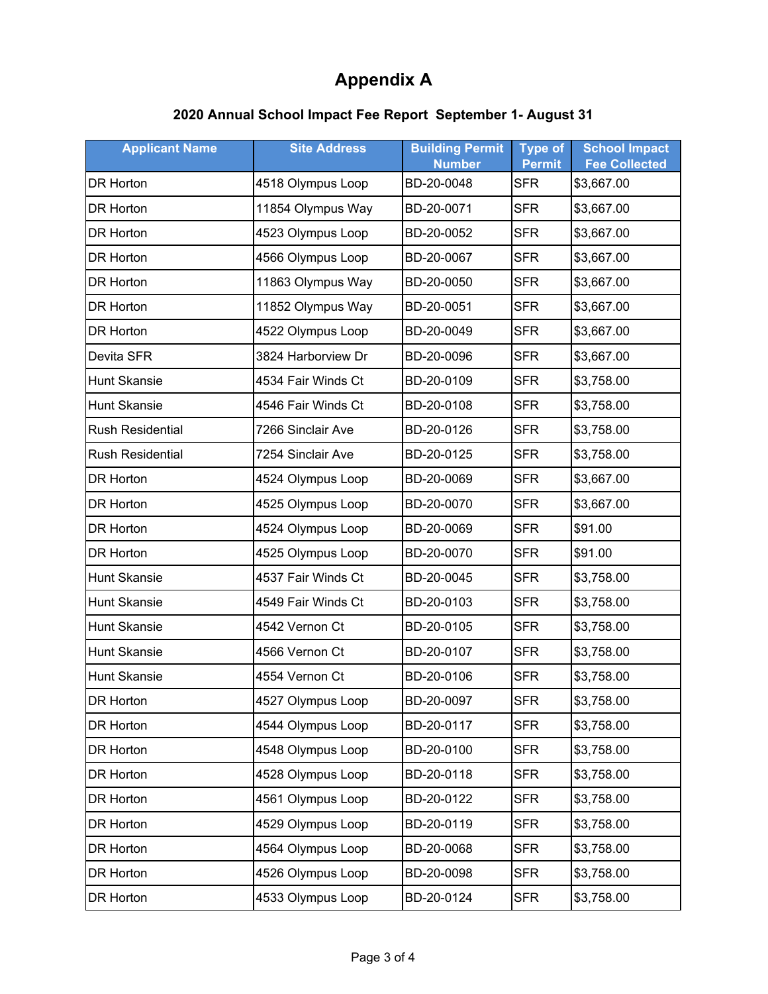## **2020 Annual School Impact Fee Report September 1- August 31**

| <b>Applicant Name</b>   | <b>Site Address</b> | <b>Building Permit</b><br><b>Number</b> | <b>Type of</b><br><b>Permit</b> | <b>School Impact</b><br><b>Fee Collected</b> |
|-------------------------|---------------------|-----------------------------------------|---------------------------------|----------------------------------------------|
| <b>DR Horton</b>        | 4518 Olympus Loop   | BD-20-0048                              | <b>SFR</b>                      | \$3,667.00                                   |
| DR Horton               | 11854 Olympus Way   | BD-20-0071                              | <b>SFR</b>                      | \$3,667.00                                   |
| DR Horton               | 4523 Olympus Loop   | BD-20-0052                              | <b>SFR</b>                      | \$3,667.00                                   |
| <b>DR Horton</b>        | 4566 Olympus Loop   | BD-20-0067                              | <b>SFR</b>                      | \$3,667.00                                   |
| DR Horton               | 11863 Olympus Way   | BD-20-0050                              | <b>SFR</b>                      | \$3,667.00                                   |
| DR Horton               | 11852 Olympus Way   | BD-20-0051                              | <b>SFR</b>                      | \$3,667.00                                   |
| DR Horton               | 4522 Olympus Loop   | BD-20-0049                              | <b>SFR</b>                      | \$3,667.00                                   |
| Devita SFR              | 3824 Harborview Dr  | BD-20-0096                              | <b>SFR</b>                      | \$3,667.00                                   |
| <b>Hunt Skansie</b>     | 4534 Fair Winds Ct  | BD-20-0109                              | <b>SFR</b>                      | \$3,758.00                                   |
| <b>Hunt Skansie</b>     | 4546 Fair Winds Ct  | BD-20-0108                              | <b>SFR</b>                      | \$3,758.00                                   |
| <b>Rush Residential</b> | 7266 Sinclair Ave   | BD-20-0126                              | <b>SFR</b>                      | \$3,758.00                                   |
| <b>Rush Residential</b> | 7254 Sinclair Ave   | BD-20-0125                              | <b>SFR</b>                      | \$3,758.00                                   |
| <b>DR Horton</b>        | 4524 Olympus Loop   | BD-20-0069                              | <b>SFR</b>                      | \$3,667.00                                   |
| DR Horton               | 4525 Olympus Loop   | BD-20-0070                              | <b>SFR</b>                      | \$3,667.00                                   |
| <b>DR Horton</b>        | 4524 Olympus Loop   | BD-20-0069                              | <b>SFR</b>                      | \$91.00                                      |
| DR Horton               | 4525 Olympus Loop   | BD-20-0070                              | <b>SFR</b>                      | \$91.00                                      |
| <b>Hunt Skansie</b>     | 4537 Fair Winds Ct  | BD-20-0045                              | <b>SFR</b>                      | \$3,758.00                                   |
| <b>Hunt Skansie</b>     | 4549 Fair Winds Ct  | BD-20-0103                              | <b>SFR</b>                      | \$3,758.00                                   |
| <b>Hunt Skansie</b>     | 4542 Vernon Ct      | BD-20-0105                              | <b>SFR</b>                      | \$3,758.00                                   |
| <b>Hunt Skansie</b>     | 4566 Vernon Ct      | BD-20-0107                              | <b>SFR</b>                      | \$3,758.00                                   |
| <b>Hunt Skansie</b>     | 4554 Vernon Ct      | BD-20-0106                              | <b>SFR</b>                      | \$3,758.00                                   |
| DR Horton               | 4527 Olympus Loop   | BD-20-0097                              | <b>SFR</b>                      | \$3,758.00                                   |
| DR Horton               | 4544 Olympus Loop   | BD-20-0117                              | <b>SFR</b>                      | \$3,758.00                                   |
| DR Horton               | 4548 Olympus Loop   | BD-20-0100                              | <b>SFR</b>                      | \$3,758.00                                   |
| DR Horton               | 4528 Olympus Loop   | BD-20-0118                              | <b>SFR</b>                      | \$3,758.00                                   |
| DR Horton               | 4561 Olympus Loop   | BD-20-0122                              | <b>SFR</b>                      | \$3,758.00                                   |
| DR Horton               | 4529 Olympus Loop   | BD-20-0119                              | <b>SFR</b>                      | \$3,758.00                                   |
| DR Horton               | 4564 Olympus Loop   | BD-20-0068                              | <b>SFR</b>                      | \$3,758.00                                   |
| DR Horton               | 4526 Olympus Loop   | BD-20-0098                              | <b>SFR</b>                      | \$3,758.00                                   |
| DR Horton               | 4533 Olympus Loop   | BD-20-0124                              | <b>SFR</b>                      | \$3,758.00                                   |